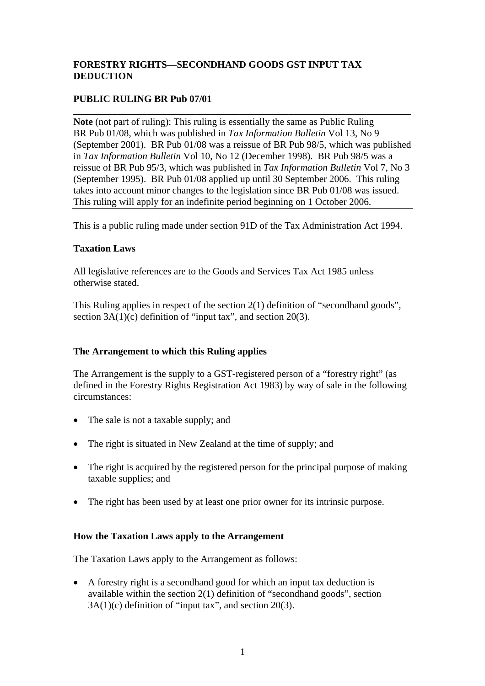# **FORESTRY RIGHTS—SECONDHAND GOODS GST INPUT TAX DEDUCTION**

# **PUBLIC RULING BR Pub 07/01**

**Note** (not part of ruling): This ruling is essentially the same as Public Ruling BR Pub 01/08, which was published in *Tax Information Bulletin* Vol 13, No 9 (September 2001). BR Pub 01/08 was a reissue of BR Pub 98/5, which was published in *Tax Information Bulletin* Vol 10, No 12 (December 1998). BR Pub 98/5 was a reissue of BR Pub 95/3, which was published in *Tax Information Bulletin* Vol 7, No 3 (September 1995). BR Pub 01/08 applied up until 30 September 2006. This ruling takes into account minor changes to the legislation since BR Pub 01/08 was issued. This ruling will apply for an indefinite period beginning on 1 October 2006.

**\_\_\_\_\_\_\_\_\_\_\_\_\_\_\_\_\_\_\_\_\_\_\_\_\_\_\_\_\_\_\_\_\_\_\_\_\_\_\_\_\_\_\_\_\_\_\_\_\_\_\_\_\_\_\_\_\_\_\_\_\_\_\_\_\_\_\_\_\_** 

This is a public ruling made under section 91D of the Tax Administration Act 1994.

# **Taxation Laws**

All legislative references are to the Goods and Services Tax Act 1985 unless otherwise stated.

This Ruling applies in respect of the section 2(1) definition of "secondhand goods", section  $3A(1)(c)$  definition of "input tax", and section 20(3).

# **The Arrangement to which this Ruling applies**

The Arrangement is the supply to a GST-registered person of a "forestry right" (as defined in the Forestry Rights Registration Act 1983) by way of sale in the following circumstances:

- The sale is not a taxable supply; and
- The right is situated in New Zealand at the time of supply; and
- The right is acquired by the registered person for the principal purpose of making taxable supplies; and
- The right has been used by at least one prior owner for its intrinsic purpose.

# **How the Taxation Laws apply to the Arrangement**

The Taxation Laws apply to the Arrangement as follows:

• A forestry right is a secondhand good for which an input tax deduction is available within the section 2(1) definition of "secondhand goods", section  $3A(1)(c)$  definition of "input tax", and section 20(3).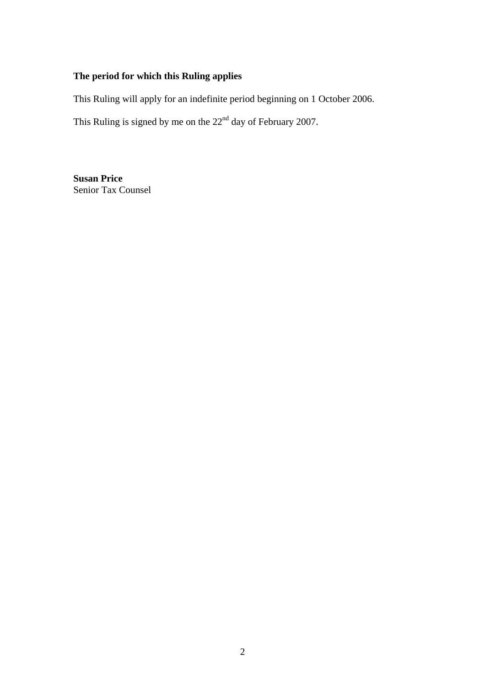# **The period for which this Ruling applies**

This Ruling will apply for an indefinite period beginning on 1 October 2006.

This Ruling is signed by me on the  $22<sup>nd</sup>$  day of February 2007.

**Susan Price**  Senior Tax Counsel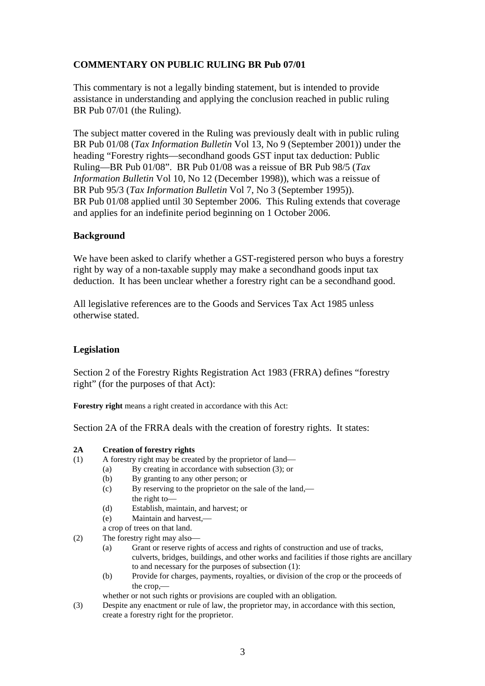# **COMMENTARY ON PUBLIC RULING BR Pub 07/01**

This commentary is not a legally binding statement, but is intended to provide assistance in understanding and applying the conclusion reached in public ruling BR Pub 07/01 (the Ruling).

The subject matter covered in the Ruling was previously dealt with in public ruling BR Pub 01/08 (*Tax Information Bulletin* Vol 13, No 9 (September 2001)) under the heading "Forestry rights—secondhand goods GST input tax deduction: Public Ruling—BR Pub 01/08". BR Pub 01/08 was a reissue of BR Pub 98/5 (*Tax Information Bulletin* Vol 10, No 12 (December 1998)), which was a reissue of BR Pub 95/3 (*Tax Information Bulletin* Vol 7, No 3 (September 1995)). BR Pub 01/08 applied until 30 September 2006. This Ruling extends that coverage and applies for an indefinite period beginning on 1 October 2006.

### **Background**

We have been asked to clarify whether a GST-registered person who buys a forestry right by way of a non-taxable supply may make a secondhand goods input tax deduction. It has been unclear whether a forestry right can be a secondhand good.

All legislative references are to the Goods and Services Tax Act 1985 unless otherwise stated.

# **Legislation**

Section 2 of the Forestry Rights Registration Act 1983 (FRRA) defines "forestry right" (for the purposes of that Act):

**Forestry right** means a right created in accordance with this Act:

Section 2A of the FRRA deals with the creation of forestry rights. It states:

#### **2A Creation of forestry rights**

- (1) A forestry right may be created by the proprietor of land—
	- (a) By creating in accordance with subsection (3); or
		- (b) By granting to any other person; or
		- (c) By reserving to the proprietor on the sale of the land, the right to-
		- (d) Establish, maintain, and harvest; or
		- (e) Maintain and harvest,—
	- a crop of trees on that land.
- (2) The forestry right may also
	- (a) Grant or reserve rights of access and rights of construction and use of tracks, culverts, bridges, buildings, and other works and facilities if those rights are ancillary to and necessary for the purposes of subsection (1):
	- (b) Provide for charges, payments, royalties, or division of the crop or the proceeds of the crop.

whether or not such rights or provisions are coupled with an obligation.

(3) Despite any enactment or rule of law, the proprietor may, in accordance with this section, create a forestry right for the proprietor.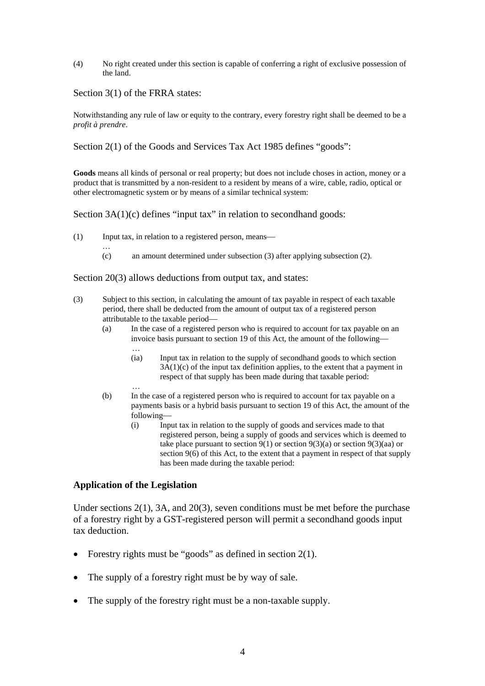(4) No right created under this section is capable of conferring a right of exclusive possession of the land.

Section 3(1) of the FRRA states:

Notwithstanding any rule of law or equity to the contrary, every forestry right shall be deemed to be a *profit à prendre*.

Section 2(1) of the Goods and Services Tax Act 1985 defines "goods":

**Goods** means all kinds of personal or real property; but does not include choses in action, money or a product that is transmitted by a non-resident to a resident by means of a wire, cable, radio, optical or other electromagnetic system or by means of a similar technical system:

Section 3A(1)(c) defines "input tax" in relation to secondhand goods:

- $(1)$  Input tax, in relation to a registered person, means—
	- … (c) an amount determined under subsection (3) after applying subsection (2).

Section 20(3) allows deductions from output tax, and states:

- (3) Subject to this section, in calculating the amount of tax payable in respect of each taxable period, there shall be deducted from the amount of output tax of a registered person attributable to the taxable period-
	- (a) In the case of a registered person who is required to account for tax payable on an invoice basis pursuant to section 19 of this Act, the amount of the following— …
		- (ia) Input tax in relation to the supply of secondhand goods to which section 3A(1)(c) of the input tax definition applies, to the extent that a payment in respect of that supply has been made during that taxable period:
	- … (b) In the case of a registered person who is required to account for tax payable on a payments basis or a hybrid basis pursuant to section 19 of this Act, the amount of the following-
		- (i) Input tax in relation to the supply of goods and services made to that registered person, being a supply of goods and services which is deemed to take place pursuant to section  $9(1)$  or section  $9(3)(a)$  or section  $9(3)(aa)$  or section 9(6) of this Act, to the extent that a payment in respect of that supply has been made during the taxable period:

### **Application of the Legislation**

Under sections 2(1), 3A, and 20(3), seven conditions must be met before the purchase of a forestry right by a GST-registered person will permit a secondhand goods input tax deduction.

- Forestry rights must be "goods" as defined in section  $2(1)$ .
- The supply of a forestry right must be by way of sale.
- The supply of the forestry right must be a non-taxable supply.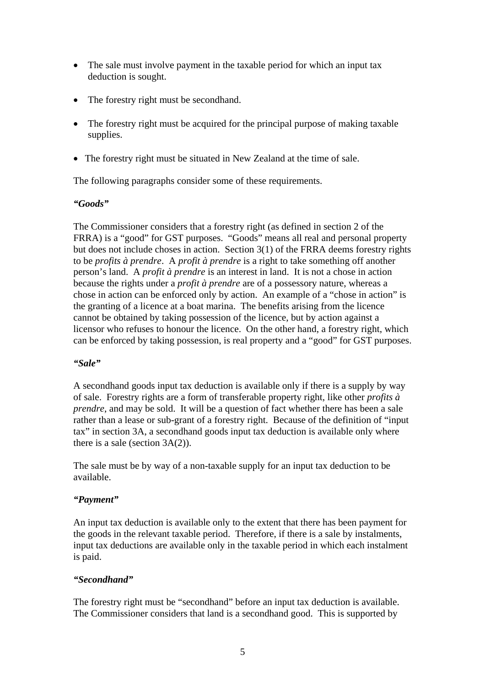- The sale must involve payment in the taxable period for which an input tax deduction is sought.
- The forestry right must be secondhand.
- The forestry right must be acquired for the principal purpose of making taxable supplies.
- The forestry right must be situated in New Zealand at the time of sale.

The following paragraphs consider some of these requirements.

### *"Goods"*

The Commissioner considers that a forestry right (as defined in section 2 of the FRRA) is a "good" for GST purposes. "Goods" means all real and personal property but does not include choses in action. Section 3(1) of the FRRA deems forestry rights to be *profits à prendre*. A *profit à prendre* is a right to take something off another person's land. A *profit à prendre* is an interest in land. It is not a chose in action because the rights under a *profit à prendre* are of a possessory nature, whereas a chose in action can be enforced only by action. An example of a "chose in action" is the granting of a licence at a boat marina. The benefits arising from the licence cannot be obtained by taking possession of the licence, but by action against a licensor who refuses to honour the licence. On the other hand, a forestry right, which can be enforced by taking possession, is real property and a "good" for GST purposes.

### *"Sale"*

A secondhand goods input tax deduction is available only if there is a supply by way of sale. Forestry rights are a form of transferable property right, like other *profits à prendre*, and may be sold. It will be a question of fact whether there has been a sale rather than a lease or sub-grant of a forestry right. Because of the definition of "input tax" in section 3A, a secondhand goods input tax deduction is available only where there is a sale (section 3A(2)).

The sale must be by way of a non-taxable supply for an input tax deduction to be available.

# *"Payment"*

An input tax deduction is available only to the extent that there has been payment for the goods in the relevant taxable period. Therefore, if there is a sale by instalments, input tax deductions are available only in the taxable period in which each instalment is paid.

# *"Secondhand"*

The forestry right must be "secondhand" before an input tax deduction is available. The Commissioner considers that land is a secondhand good. This is supported by